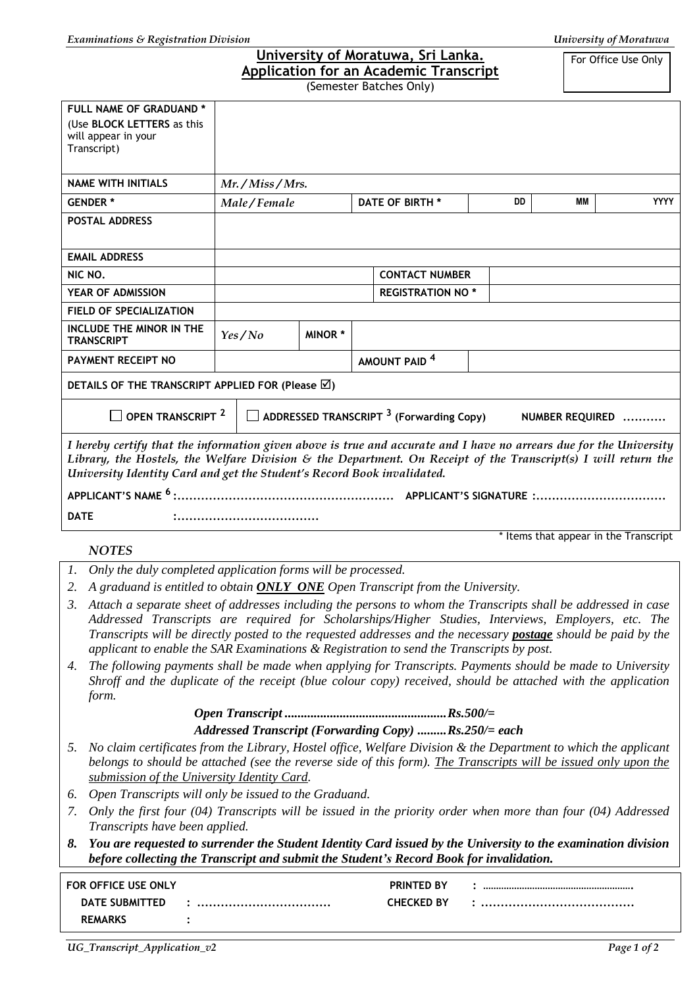| University of Moratuwa, Sri Lanka.<br>For Office Use Only<br><b>Application for an Academic Transcript</b>                                                                                                                                                                                                                                                                                                                                   |                                            |                         |                          |  |  |  |
|----------------------------------------------------------------------------------------------------------------------------------------------------------------------------------------------------------------------------------------------------------------------------------------------------------------------------------------------------------------------------------------------------------------------------------------------|--------------------------------------------|-------------------------|--------------------------|--|--|--|
| (Semester Batches Only)                                                                                                                                                                                                                                                                                                                                                                                                                      |                                            |                         |                          |  |  |  |
| FULL NAME OF GRADUAND *<br>(Use BLOCK LETTERS as this<br>will appear in your<br>Transcript)                                                                                                                                                                                                                                                                                                                                                  |                                            |                         |                          |  |  |  |
| <b>NAME WITH INITIALS</b>                                                                                                                                                                                                                                                                                                                                                                                                                    | Mr./Miss/Mrs.                              |                         |                          |  |  |  |
| <b>GENDER*</b>                                                                                                                                                                                                                                                                                                                                                                                                                               | DD<br>MМ<br>Male/Female<br>DATE OF BIRTH * |                         | <b>YYYY</b>              |  |  |  |
| <b>POSTAL ADDRESS</b>                                                                                                                                                                                                                                                                                                                                                                                                                        |                                            |                         |                          |  |  |  |
| <b>EMAIL ADDRESS</b>                                                                                                                                                                                                                                                                                                                                                                                                                         |                                            |                         |                          |  |  |  |
| NIC NO.                                                                                                                                                                                                                                                                                                                                                                                                                                      |                                            | <b>CONTACT NUMBER</b>   |                          |  |  |  |
| YEAR OF ADMISSION                                                                                                                                                                                                                                                                                                                                                                                                                            |                                            | <b>REGISTRATION NO*</b> |                          |  |  |  |
| <b>FIELD OF SPECIALIZATION</b>                                                                                                                                                                                                                                                                                                                                                                                                               |                                            |                         |                          |  |  |  |
| <b>INCLUDE THE MINOR IN THE</b><br><b>TRANSCRIPT</b>                                                                                                                                                                                                                                                                                                                                                                                         | Yes/No                                     | <b>MINOR*</b>           |                          |  |  |  |
| <b>PAYMENT RECEIPT NO</b>                                                                                                                                                                                                                                                                                                                                                                                                                    |                                            |                         | AMOUNT PAID <sup>4</sup> |  |  |  |
| DETAILS OF THE TRANSCRIPT APPLIED FOR (Please $\boxtimes$ )                                                                                                                                                                                                                                                                                                                                                                                  |                                            |                         |                          |  |  |  |
| OPEN TRANSCRIPT <sup>2</sup><br>$\Box$ ADDRESSED TRANSCRIPT $^3$ (Forwarding Copy)<br>NUMBER REQUIRED                                                                                                                                                                                                                                                                                                                                        |                                            |                         |                          |  |  |  |
| I hereby certify that the information given above is true and accurate and I have no arrears due for the University<br>Library, the Hostels, the Welfare Division & the Department. On Receipt of the Transcript(s) I will return the<br>University Identity Card and get the Student's Record Book invalidated.                                                                                                                             |                                            |                         |                          |  |  |  |
|                                                                                                                                                                                                                                                                                                                                                                                                                                              |                                            |                         |                          |  |  |  |
| <b>DATE</b>                                                                                                                                                                                                                                                                                                                                                                                                                                  |                                            |                         |                          |  |  |  |
| * Items that appear in the Transcript<br><b>NOTES</b>                                                                                                                                                                                                                                                                                                                                                                                        |                                            |                         |                          |  |  |  |
| 1. Only the duly completed application forms will be processed.                                                                                                                                                                                                                                                                                                                                                                              |                                            |                         |                          |  |  |  |
| A graduand is entitled to obtain ONLY ONE Open Transcript from the University.<br>2.                                                                                                                                                                                                                                                                                                                                                         |                                            |                         |                          |  |  |  |
| 3. Attach a separate sheet of addresses including the persons to whom the Transcripts shall be addressed in case<br>Addressed Transcripts are required for Scholarships/Higher Studies, Interviews, Employers, etc. The<br>Transcripts will be directly posted to the requested addresses and the necessary <b>postage</b> should be paid by the<br>applicant to enable the SAR Examinations & Registration to send the Transcripts by post. |                                            |                         |                          |  |  |  |
| The following payments shall be made when applying for Transcripts. Payments should be made to University<br>4.<br>Shroff and the duplicate of the receipt (blue colour copy) received, should be attached with the application<br>form.                                                                                                                                                                                                     |                                            |                         |                          |  |  |  |
|                                                                                                                                                                                                                                                                                                                                                                                                                                              |                                            |                         |                          |  |  |  |
| Addressed Transcript (Forwarding Copy) Rs.250/= each                                                                                                                                                                                                                                                                                                                                                                                         |                                            |                         |                          |  |  |  |
| No claim certificates from the Library, Hostel office, Welfare Division & the Department to which the applicant<br>5.<br>belongs to should be attached (see the reverse side of this form). The Transcripts will be issued only upon the<br>submission of the University Identity Card.                                                                                                                                                      |                                            |                         |                          |  |  |  |
| Open Transcripts will only be issued to the Graduand.<br>6.                                                                                                                                                                                                                                                                                                                                                                                  |                                            |                         |                          |  |  |  |
| Only the first four $(04)$ Transcripts will be issued in the priority order when more than four $(04)$ Addressed<br>7.<br>Transcripts have been applied.                                                                                                                                                                                                                                                                                     |                                            |                         |                          |  |  |  |

*8. You are requested to surrender the Student Identity Card issued by the University to the examination division before collecting the Transcript and submit the Student's Record Book for invalidation.*

| <b>FOR OFFICE USE ONLY</b> | <b>PRINTED BY</b>     |  |
|----------------------------|-----------------------|--|
| <b>DATE SUBMITTED</b>      | <br><b>CHECKED BY</b> |  |
| <b>REMARKS</b>             |                       |  |